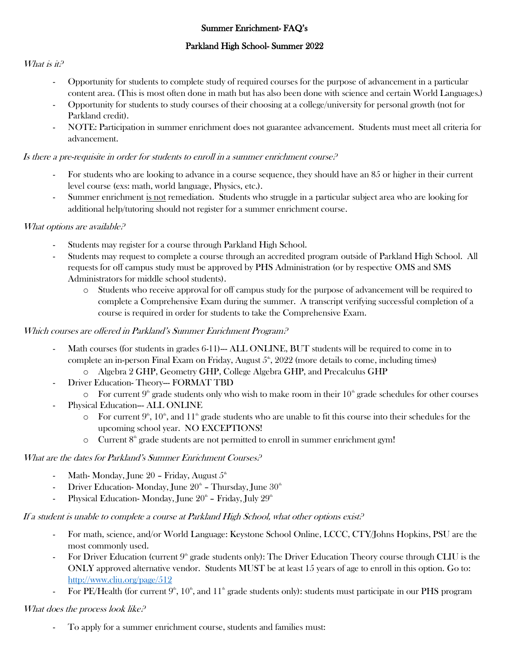# Summer Enrichment- FAQ's

# Parkland High School- Summer 2022

### What is it?

- Opportunity for students to complete study of required courses for the purpose of advancement in a particular content area. (This is most often done in math but has also been done with science and certain World Languages.)
- Opportunity for students to study courses of their choosing at a college/university for personal growth (not for Parkland credit).
- NOTE: Participation in summer enrichment does not guarantee advancement. Students must meet all criteria for advancement.

### Is there a pre-requisite in order for students to enroll in a summer enrichment course?

- For students who are looking to advance in a course sequence, they should have an 85 or higher in their current level course (exs: math, world language, Physics, etc.).
- Summer enrichment is not remediation. Students who struggle in a particular subject area who are looking for additional help/tutoring should not register for a summer enrichment course.

## What options are available?

- Students may register for a course through Parkland High School.
- Students may request to complete a course through an accredited program outside of Parkland High School. All requests for off campus study must be approved by PHS Administration (or by respective OMS and SMS Administrators for middle school students).
	- o Students who receive approval for off campus study for the purpose of advancement will be required to complete a Comprehensive Exam during the summer. A transcript verifying successful completion of a course is required in order for students to take the Comprehensive Exam.

# Which courses are offered in Parkland's Summer Enrichment Program?

- Math courses (for students in grades 6-11)--- ALL ONLINE, BUT students will be required to come in to complete an in-person Final Exam on Friday, August  $5^{\circ}$ , 2022 (more details to come, including times)
	- o Algebra 2 GHP, Geometry GHP, College Algebra GHP, and Precalculus GHP
- Driver Education-Theory--- FORMAT TBD
	- $\circ$  For current 9<sup>th</sup> grade students only who wish to make room in their 10<sup>th</sup> grade schedules for other courses
- Physical Education--- ALL ONLINE
	- $\circ$  For current  $9^{\text{th}}$ ,  $10^{\text{th}}$ , and  $11^{\text{th}}$  grade students who are unable to fit this course into their schedules for the upcoming school year. NO EXCEPTIONS!
	- $\circ$  Current  $8^{\circ}$  grade students are not permitted to enroll in summer enrichment gym!

#### What are the dates for Parkland's Summer Enrichment Courses?

- Math- Monday, June 20 Friday, August  $5<sup>th</sup>$
- Driver Education-Monday, June  $20^{\text{th}}$  Thursday, June  $30^{\text{th}}$
- Physical Education-Monday, June  $20^{\text{\tiny th}}$  Friday, July  $29^{\text{\tiny th}}$

#### If a student is unable to complete a course at Parkland High School, what other options exist?

- For math, science, and/or World Language: Keystone School Online, LCCC, CTY/Johns Hopkins, PSU are the most commonly used.
- For Driver Education (current  $9<sup>th</sup>$  grade students only): The Driver Education Theory course through CLIU is the ONLY approved alternative vendor. Students MUST be at least 15 years of age to enroll in this option. Go to: <http://www.cliu.org/page/512>
- For PE/Health (for current  $9<sup>th</sup>$ ,  $10<sup>th</sup>$ , and  $11<sup>th</sup>$  grade students only): students must participate in our PHS program

#### What does the process look like?

- To apply for a summer enrichment course, students and families must: